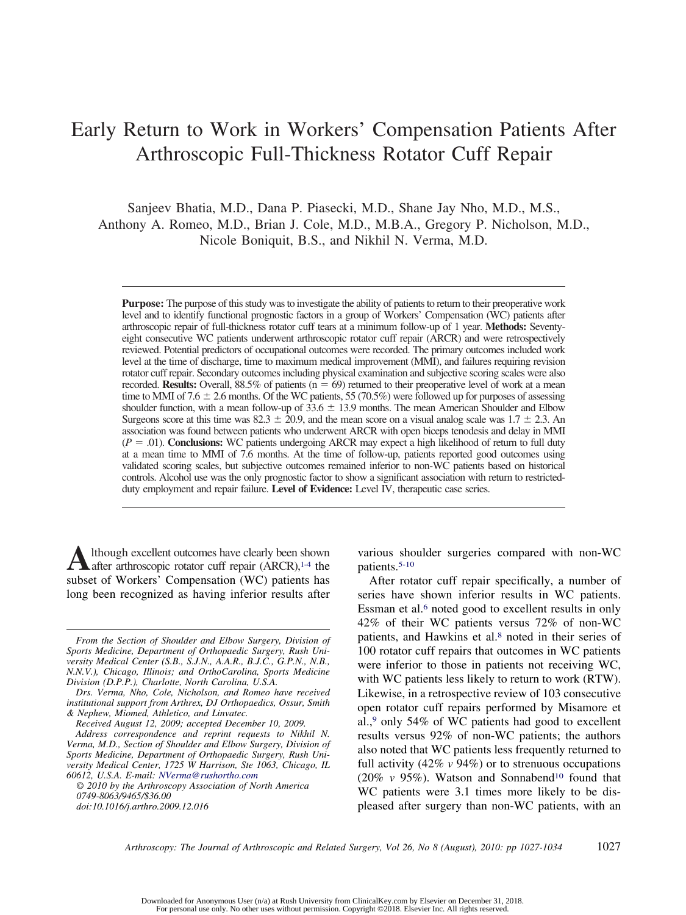# Early Return to Work in Workers' Compensation Patients After Arthroscopic Full-Thickness Rotator Cuff Repair

Sanjeev Bhatia, M.D., Dana P. Piasecki, M.D., Shane Jay Nho, M.D., M.S., Anthony A. Romeo, M.D., Brian J. Cole, M.D., M.B.A., Gregory P. Nicholson, M.D., Nicole Boniquit, B.S., and Nikhil N. Verma, M.D.

**Purpose:** The purpose of this study was to investigate the ability of patients to return to their preoperative work level and to identify functional prognostic factors in a group of Workers' Compensation (WC) patients after arthroscopic repair of full-thickness rotator cuff tears at a minimum follow-up of 1 year. **Methods:** Seventyeight consecutive WC patients underwent arthroscopic rotator cuff repair (ARCR) and were retrospectively reviewed. Potential predictors of occupational outcomes were recorded. The primary outcomes included work level at the time of discharge, time to maximum medical improvement (MMI), and failures requiring revision rotator cuff repair. Secondary outcomes including physical examination and subjective scoring scales were also recorded. **Results:** Overall, 88.5% of patients  $(n = 69)$  returned to their preoperative level of work at a mean time to MMI of 7.6  $\pm$  2.6 months. Of the WC patients, 55 (70.5%) were followed up for purposes of assessing shoulder function, with a mean follow-up of  $33.6 \pm 13.9$  months. The mean American Shoulder and Elbow Surgeons score at this time was  $82.3 \pm 20.9$ , and the mean score on a visual analog scale was  $1.7 \pm 2.3$ . An association was found between patients who underwent ARCR with open biceps tenodesis and delay in MMI  $(P = .01)$ . **Conclusions:** WC patients undergoing ARCR may expect a high likelihood of return to full duty at a mean time to MMI of 7.6 months. At the time of follow-up, patients reported good outcomes using validated scoring scales, but subjective outcomes remained inferior to non-WC patients based on historical controls. Alcohol use was the only prognostic factor to show a significant association with return to restrictedduty employment and repair failure. **Level of Evidence:** Level IV, therapeutic case series.

Although excellent outcomes have clearly been shown<br>after arthroscopic rotator cuff repair (ARCR),<sup>1-4</sup> the subset of Workers' Compensation (WC) patients has long been recognized as having inferior results after

various shoulder surgeries compared with non-WC patients.5-10

After rotator cuff repair specifically, a number of series have shown inferior results in WC patients. Essman et al.<sup>6</sup> noted good to excellent results in only 42% of their WC patients versus 72% of non-WC patients, and Hawkins et al.8 noted in their series of 100 rotator cuff repairs that outcomes in WC patients were inferior to those in patients not receiving WC, with WC patients less likely to return to work (RTW). Likewise, in a retrospective review of 103 consecutive open rotator cuff repairs performed by Misamore et al.,9 only 54% of WC patients had good to excellent results versus 92% of non-WC patients; the authors also noted that WC patients less frequently returned to full activity (42% *v* 94%) or to strenuous occupations (20%  $\nu$  95%). Watson and Sonnabend<sup>10</sup> found that WC patients were 3.1 times more likely to be displeased after surgery than non-WC patients, with an

*From the Section of Shoulder and Elbow Surgery, Division of Sports Medicine, Department of Orthopaedic Surgery, Rush University Medical Center (S.B., S.J.N., A.A.R., B.J.C., G.P.N., N.B., N.N.V.), Chicago, Illinois; and OrthoCarolina, Sports Medicine Division (D.P.P.), Charlotte, North Carolina, U.S.A.*

*Drs. Verma, Nho, Cole, Nicholson, and Romeo have received institutional support from Arthrex, DJ Orthopaedics, Ossur, Smith & Nephew, Miomed, Athletico, and Linvatec.*

*Received August 12, 2009; accepted December 10, 2009.*

*Address correspondence and reprint requests to Nikhil N. Verma, M.D., Section of Shoulder and Elbow Surgery, Division of Sports Medicine, Department of Orthopaedic Surgery, Rush University Medical Center, 1725 W Harrison, Ste 1063, Chicago, IL 60612, U.S.A. E-mail: NVerma@rushortho.com*

*<sup>© 2010</sup> by the Arthroscopy Association of North America 0749-8063/9465/\$36.00 doi:10.1016/j.arthro.2009.12.016*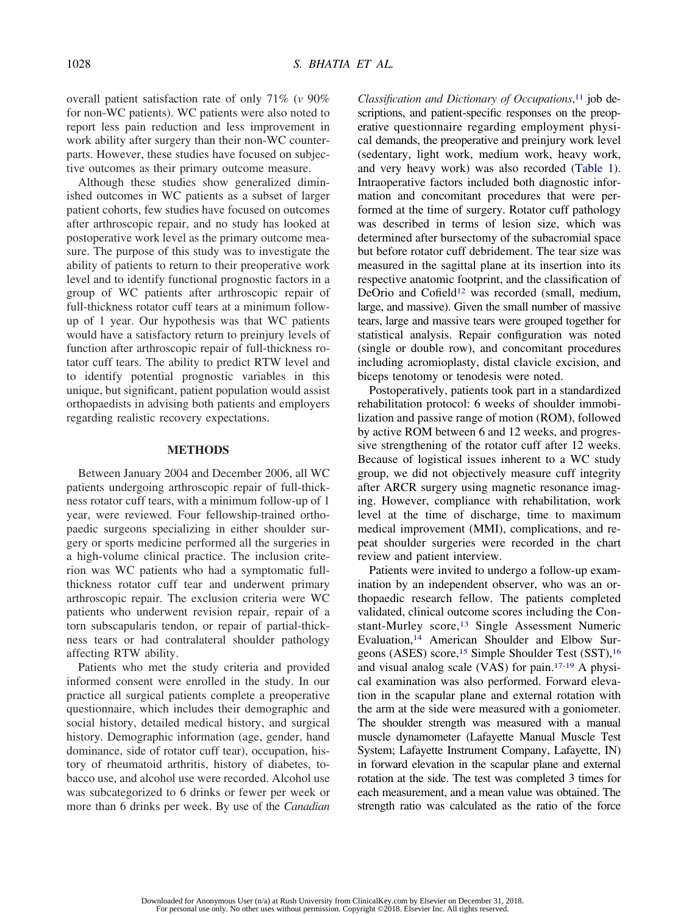overall patient satisfaction rate of only 71% (*v* 90% for non-WC patients). WC patients were also noted to report less pain reduction and less improvement in work ability after surgery than their non-WC counterparts. However, these studies have focused on subjective outcomes as their primary outcome measure.

Although these studies show generalized diminished outcomes in WC patients as a subset of larger patient cohorts, few studies have focused on outcomes after arthroscopic repair, and no study has looked at postoperative work level as the primary outcome measure. The purpose of this study was to investigate the ability of patients to return to their preoperative work level and to identify functional prognostic factors in a group of WC patients after arthroscopic repair of full-thickness rotator cuff tears at a minimum followup of 1 year. Our hypothesis was that WC patients would have a satisfactory return to preinjury levels of function after arthroscopic repair of full-thickness rotator cuff tears. The ability to predict RTW level and to identify potential prognostic variables in this unique, but significant, patient population would assist orthopaedists in advising both patients and employers regarding realistic recovery expectations.

## **METHODS**

Between January 2004 and December 2006, all WC patients undergoing arthroscopic repair of full-thickness rotator cuff tears, with a minimum follow-up of 1 year, were reviewed. Four fellowship-trained orthopaedic surgeons specializing in either shoulder surgery or sports medicine performed all the surgeries in a high-volume clinical practice. The inclusion criterion was WC patients who had a symptomatic fullthickness rotator cuff tear and underwent primary arthroscopic repair. The exclusion criteria were WC patients who underwent revision repair, repair of a torn subscapularis tendon, or repair of partial-thickness tears or had contralateral shoulder pathology affecting RTW ability.

Patients who met the study criteria and provided informed consent were enrolled in the study. In our practice all surgical patients complete a preoperative questionnaire, which includes their demographic and social history, detailed medical history, and surgical history. Demographic information (age, gender, hand dominance, side of rotator cuff tear), occupation, history of rheumatoid arthritis, history of diabetes, tobacco use, and alcohol use were recorded. Alcohol use was subcategorized to 6 drinks or fewer per week or more than 6 drinks per week. By use of the *Canadian*

*Classification and Dictionary of Occupations*, <sup>11</sup> job descriptions, and patient-specific responses on the preoperative questionnaire regarding employment physical demands, the preoperative and preinjury work level (sedentary, light work, medium work, heavy work, and very heavy work) was also recorded (Table 1). Intraoperative factors included both diagnostic information and concomitant procedures that were performed at the time of surgery. Rotator cuff pathology was described in terms of lesion size, which was determined after bursectomy of the subacromial space but before rotator cuff debridement. The tear size was measured in the sagittal plane at its insertion into its respective anatomic footprint, and the classification of DeOrio and Cofield<sup>12</sup> was recorded (small, medium, large, and massive). Given the small number of massive tears, large and massive tears were grouped together for statistical analysis. Repair configuration was noted (single or double row), and concomitant procedures including acromioplasty, distal clavicle excision, and biceps tenotomy or tenodesis were noted.

Postoperatively, patients took part in a standardized rehabilitation protocol: 6 weeks of shoulder immobilization and passive range of motion (ROM), followed by active ROM between 6 and 12 weeks, and progressive strengthening of the rotator cuff after 12 weeks. Because of logistical issues inherent to a WC study group, we did not objectively measure cuff integrity after ARCR surgery using magnetic resonance imaging. However, compliance with rehabilitation, work level at the time of discharge, time to maximum medical improvement (MMI), complications, and repeat shoulder surgeries were recorded in the chart review and patient interview.

Patients were invited to undergo a follow-up examination by an independent observer, who was an orthopaedic research fellow. The patients completed validated, clinical outcome scores including the Constant-Murley score,<sup>13</sup> Single Assessment Numeric Evaluation,14 American Shoulder and Elbow Surgeons (ASES) score,<sup>15</sup> Simple Shoulder Test (SST),<sup>16</sup> and visual analog scale (VAS) for pain.17-19 A physical examination was also performed. Forward elevation in the scapular plane and external rotation with the arm at the side were measured with a goniometer. The shoulder strength was measured with a manual muscle dynamometer (Lafayette Manual Muscle Test System; Lafayette Instrument Company, Lafayette, IN) in forward elevation in the scapular plane and external rotation at the side. The test was completed 3 times for each measurement, and a mean value was obtained. The strength ratio was calculated as the ratio of the force

Downloaded for Anonymous User (n/a) at Rush University from ClinicalKey.com by Elsevier on December 31, 2018. For personal use only. No other uses without permission. Copyright ©2018. Elsevier Inc. All rights reserved.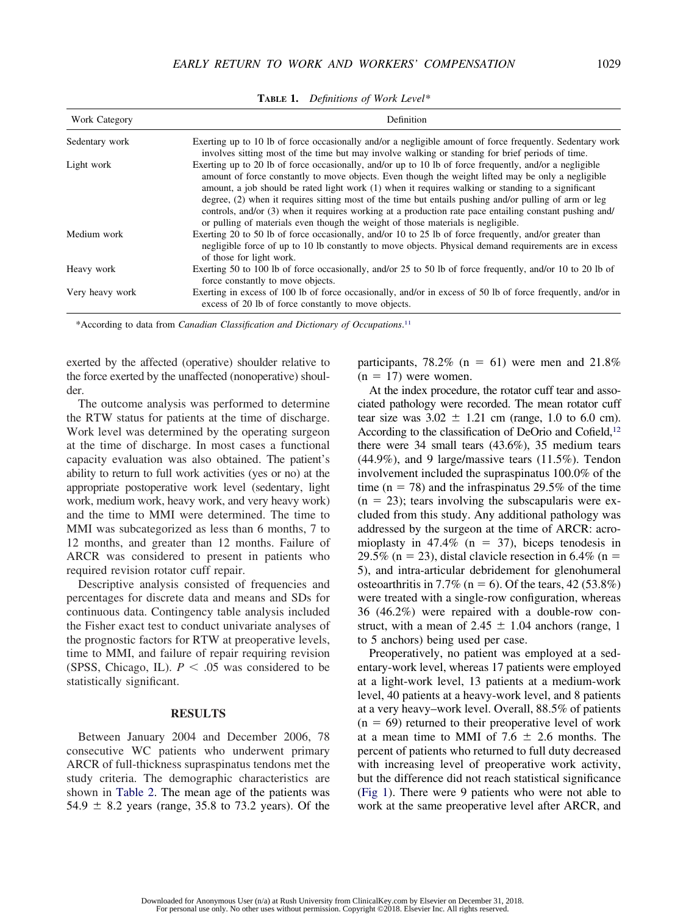|  | TABLE 1. | Definitions of Work Level* |  |  |  |
|--|----------|----------------------------|--|--|--|
|--|----------|----------------------------|--|--|--|

| Work Category   | Definition                                                                                                                                                                                                                                                                                                                                                                                                                                                                                                                                                                                                                   |
|-----------------|------------------------------------------------------------------------------------------------------------------------------------------------------------------------------------------------------------------------------------------------------------------------------------------------------------------------------------------------------------------------------------------------------------------------------------------------------------------------------------------------------------------------------------------------------------------------------------------------------------------------------|
| Sedentary work  | Exerting up to 10 lb of force occasionally and/or a negligible amount of force frequently. Sedentary work<br>involves sitting most of the time but may involve walking or standing for brief periods of time.                                                                                                                                                                                                                                                                                                                                                                                                                |
| Light work      | Exerting up to 20 lb of force occasionally, and/or up to 10 lb of force frequently, and/or a negligible<br>amount of force constantly to move objects. Even though the weight lifted may be only a negligible<br>amount, a job should be rated light work (1) when it requires walking or standing to a significant<br>degree, (2) when it requires sitting most of the time but entails pushing and/or pulling of arm or leg<br>controls, and/or (3) when it requires working at a production rate pace entailing constant pushing and/<br>or pulling of materials even though the weight of those materials is negligible. |
| Medium work     | Exerting 20 to 50 lb of force occasionally, and/or 10 to 25 lb of force frequently, and/or greater than<br>negligible force of up to 10 lb constantly to move objects. Physical demand requirements are in excess<br>of those for light work.                                                                                                                                                                                                                                                                                                                                                                                |
| Heavy work      | Exerting 50 to 100 lb of force occasionally, and/or 25 to 50 lb of force frequently, and/or 10 to 20 lb of<br>force constantly to move objects.                                                                                                                                                                                                                                                                                                                                                                                                                                                                              |
| Very heavy work | Exerting in excess of 100 lb of force occasionally, and/or in excess of 50 lb of force frequently, and/or in<br>excess of 20 lb of force constantly to move objects.                                                                                                                                                                                                                                                                                                                                                                                                                                                         |

\*According to data from *Canadian Classification and Dictionary of Occupations*. 11

exerted by the affected (operative) shoulder relative to the force exerted by the unaffected (nonoperative) shoulder.

The outcome analysis was performed to determine the RTW status for patients at the time of discharge. Work level was determined by the operating surgeon at the time of discharge. In most cases a functional capacity evaluation was also obtained. The patient's ability to return to full work activities (yes or no) at the appropriate postoperative work level (sedentary, light work, medium work, heavy work, and very heavy work) and the time to MMI were determined. The time to MMI was subcategorized as less than 6 months, 7 to 12 months, and greater than 12 months. Failure of ARCR was considered to present in patients who required revision rotator cuff repair.

Descriptive analysis consisted of frequencies and percentages for discrete data and means and SDs for continuous data. Contingency table analysis included the Fisher exact test to conduct univariate analyses of the prognostic factors for RTW at preoperative levels, time to MMI, and failure of repair requiring revision (SPSS, Chicago, IL).  $P < .05$  was considered to be statistically significant.

#### **RESULTS**

Between January 2004 and December 2006, 78 consecutive WC patients who underwent primary ARCR of full-thickness supraspinatus tendons met the study criteria. The demographic characteristics are shown in Table 2. The mean age of the patients was  $54.9 \pm 8.2$  years (range, 35.8 to 73.2 years). Of the

participants, 78.2% ( $n = 61$ ) were men and 21.8%  $(n = 17)$  were women.

At the index procedure, the rotator cuff tear and associated pathology were recorded. The mean rotator cuff tear size was  $3.02 \pm 1.21$  cm (range, 1.0 to 6.0 cm). According to the classification of DeOrio and Cofield,<sup>12</sup> there were 34 small tears (43.6%), 35 medium tears (44.9%), and 9 large/massive tears (11.5%). Tendon involvement included the supraspinatus 100.0% of the time ( $n = 78$ ) and the infraspinatus 29.5% of the time  $(n = 23)$ ; tears involving the subscapularis were excluded from this study. Any additional pathology was addressed by the surgeon at the time of ARCR: acromioplasty in  $47.4\%$  (n = 37), biceps tenodesis in 29.5% (n = 23), distal clavicle resection in 6.4% (n = 5), and intra-articular debridement for glenohumeral osteoarthritis in 7.7% ( $n = 6$ ). Of the tears, 42 (53.8%) were treated with a single-row configuration, whereas 36 (46.2%) were repaired with a double-row construct, with a mean of  $2.45 \pm 1.04$  anchors (range, 1) to 5 anchors) being used per case.

Preoperatively, no patient was employed at a sedentary-work level, whereas 17 patients were employed at a light-work level, 13 patients at a medium-work level, 40 patients at a heavy-work level, and 8 patients at a very heavy–work level. Overall, 88.5% of patients  $(n = 69)$  returned to their preoperative level of work at a mean time to MMI of  $7.6 \pm 2.6$  months. The percent of patients who returned to full duty decreased with increasing level of preoperative work activity, but the difference did not reach statistical significance (Fig 1). There were 9 patients who were not able to work at the same preoperative level after ARCR, and

Downloaded for Anonymous User (n/a) at Rush University from ClinicalKey.com by Elsevier on December 31, 2018. For personal use only. No other uses without permission. Copyright ©2018. Elsevier Inc. All rights reserved.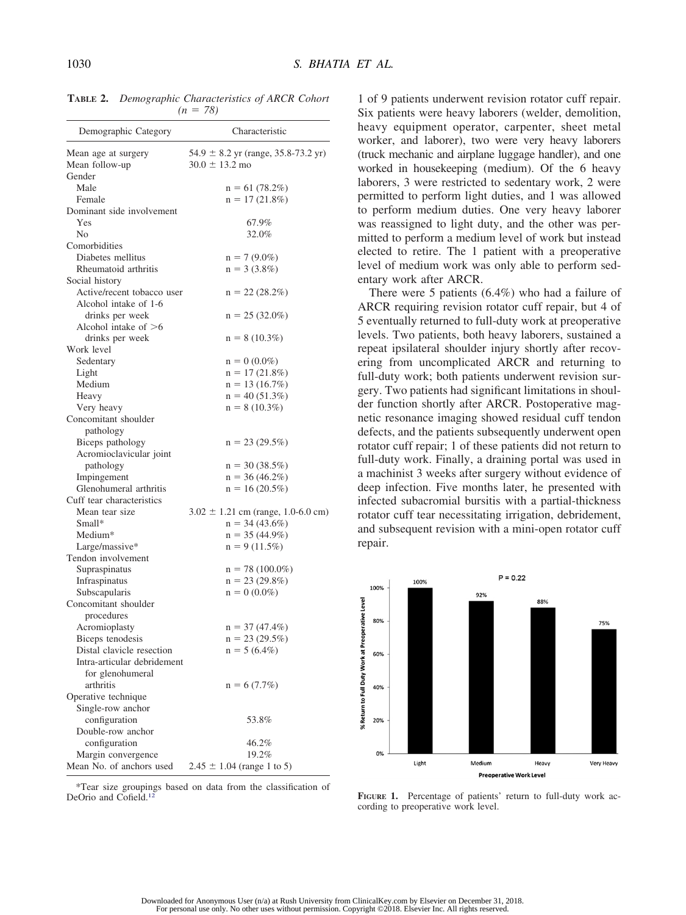| Demographic Category        | Characteristic                          |
|-----------------------------|-----------------------------------------|
| Mean age at surgery         | $54.9 \pm 8.2$ yr (range, 35.8-73.2 yr) |
| Mean follow-up              | $30.0 \pm 13.2 \text{ mo}$              |
| Gender                      |                                         |
| Male                        | $n = 61(78.2%)$                         |
| Female                      | $n = 17(21.8\%)$                        |
| Dominant side involvement   |                                         |
| Yes                         | 67.9%                                   |
| No                          | 32.0%                                   |
| Comorbidities               |                                         |
| Diabetes mellitus           | $n = 7(9.0\%)$                          |
| Rheumatoid arthritis        | $n = 3(3.8%)$                           |
| Social history              |                                         |
| Active/recent tobacco user  | $n = 22(28.2\%)$                        |
| Alcohol intake of 1-6       |                                         |
| drinks per week             | $n = 25 (32.0\%)$                       |
| Alcohol intake of $>6$      |                                         |
| drinks per week             | $n = 8(10.3\%)$                         |
| Work level                  |                                         |
| Sedentary                   | $n = 0$ (0.0%)                          |
| Light                       | $n = 17(21.8\%)$                        |
| Medium                      | $n = 13(16.7%)$                         |
| Heavy                       | $n = 40 (51.3\%)$                       |
| Very heavy                  | $n = 8(10.3\%)$                         |
| Concomitant shoulder        |                                         |
| pathology                   |                                         |
| Biceps pathology            | $n = 23(29.5%)$                         |
| Acromioclavicular joint     |                                         |
| pathology<br>Impingement    | $n = 30(38.5\%)$<br>$n = 36(46.2\%)$    |
| Glenohumeral arthritis      | $n = 16(20.5\%)$                        |
| Cuff tear characteristics   |                                         |
| Mean tear size              | $3.02 \pm 1.21$ cm (range, 1.0-6.0 cm)  |
| Small*                      | $n = 34(43.6\%)$                        |
| Medium*                     | $n = 35(44.9\%)$                        |
| Large/massive*              | $n = 9(11.5\%)$                         |
| Tendon involvement          |                                         |
| Supraspinatus               | $n = 78(100.0\%)$                       |
| Infraspinatus               | $n = 23(29.8\%)$                        |
| Subscapularis               | $n = 0$ (0.0%)                          |
| Concomitant shoulder        |                                         |
| procedures                  |                                         |
| Acromioplasty               | $n = 37(47.4\%)$                        |
| Biceps tenodesis            | $n = 23(29.5\%)$                        |
| Distal clavicle resection   | $n = 5(6.4\%)$                          |
| Intra-articular debridement |                                         |
| for glenohumeral            |                                         |
| arthritis                   | $n = 6(7.7%)$                           |
| Operative technique         |                                         |
| Single-row anchor           |                                         |
| configuration               | 53.8%                                   |
| Double-row anchor           |                                         |
| configuration               | 46.2%                                   |
| Margin convergence          | 19.2%                                   |
| Mean No. of anchors used    | $2.45 \pm 1.04$ (range 1 to 5)          |

**TABLE 2.** *Demographic Characteristics of ARCR Cohort*  $(n = 78)$ 

\*Tear size groupings based on data from the classification of DeOrio and Cofield.<sup>12</sup>

1 of 9 patients underwent revision rotator cuff repair. Six patients were heavy laborers (welder, demolition, heavy equipment operator, carpenter, sheet metal worker, and laborer), two were very heavy laborers (truck mechanic and airplane luggage handler), and one worked in housekeeping (medium). Of the 6 heavy laborers, 3 were restricted to sedentary work, 2 were permitted to perform light duties, and 1 was allowed to perform medium duties. One very heavy laborer was reassigned to light duty, and the other was permitted to perform a medium level of work but instead elected to retire. The 1 patient with a preoperative level of medium work was only able to perform sedentary work after ARCR.

There were 5 patients (6.4%) who had a failure of ARCR requiring revision rotator cuff repair, but 4 of 5 eventually returned to full-duty work at preoperative levels. Two patients, both heavy laborers, sustained a repeat ipsilateral shoulder injury shortly after recovering from uncomplicated ARCR and returning to full-duty work; both patients underwent revision surgery. Two patients had significant limitations in shoulder function shortly after ARCR. Postoperative magnetic resonance imaging showed residual cuff tendon defects, and the patients subsequently underwent open rotator cuff repair; 1 of these patients did not return to full-duty work. Finally, a draining portal was used in a machinist 3 weeks after surgery without evidence of deep infection. Five months later, he presented with infected subacromial bursitis with a partial-thickness rotator cuff tear necessitating irrigation, debridement, and subsequent revision with a mini-open rotator cuff repair.



**FIGURE 1.** Percentage of patients' return to full-duty work according to preoperative work level.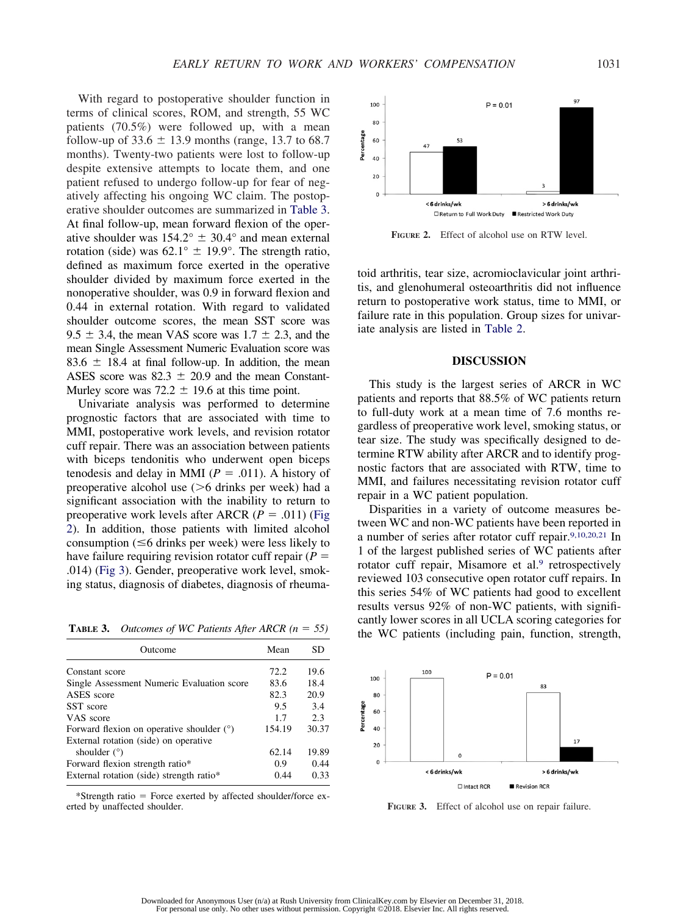With regard to postoperative shoulder function in terms of clinical scores, ROM, and strength, 55 WC patients (70.5%) were followed up, with a mean follow-up of  $33.6 \pm 13.9$  months (range, 13.7 to 68.7) months). Twenty-two patients were lost to follow-up despite extensive attempts to locate them, and one patient refused to undergo follow-up for fear of negatively affecting his ongoing WC claim. The postoperative shoulder outcomes are summarized in Table 3. At final follow-up, mean forward flexion of the operative shoulder was  $154.2^{\circ} \pm 30.4^{\circ}$  and mean external rotation (side) was  $62.1^{\circ} \pm 19.9^{\circ}$ . The strength ratio, defined as maximum force exerted in the operative shoulder divided by maximum force exerted in the nonoperative shoulder, was 0.9 in forward flexion and 0.44 in external rotation. With regard to validated shoulder outcome scores, the mean SST score was  $9.5 \pm 3.4$ , the mean VAS score was  $1.7 \pm 2.3$ , and the mean Single Assessment Numeric Evaluation score was  $83.6 \pm 18.4$  at final follow-up. In addition, the mean ASES score was  $82.3 \pm 20.9$  and the mean Constant-Murley score was  $72.2 \pm 19.6$  at this time point.

Univariate analysis was performed to determine prognostic factors that are associated with time to MMI, postoperative work levels, and revision rotator cuff repair. There was an association between patients with biceps tendonitis who underwent open biceps tenodesis and delay in MMI ( $P = .011$ ). A history of preoperative alcohol use  $(0.6$  drinks per week) had a significant association with the inability to return to preoperative work levels after ARCR  $(P = .011)$  (Fig. 2). In addition, those patients with limited alcohol consumption ( $\leq 6$  drinks per week) were less likely to have failure requiring revision rotator cuff repair (*P* .014) (Fig 3). Gender, preoperative work level, smoking status, diagnosis of diabetes, diagnosis of rheuma-

| Outcome                                     | Mean   | SD    |
|---------------------------------------------|--------|-------|
| Constant score                              | 72.2   | 19.6  |
| Single Assessment Numeric Evaluation score  | 83.6   | 18.4  |
| ASES score                                  | 82.3   | 20.9  |
| SST score                                   | 9.5    | 3.4   |
| VAS score                                   | 1.7    | 2.3   |
| Forward flexion on operative shoulder $(°)$ | 154.19 | 30.37 |
| External rotation (side) on operative       |        |       |
| shoulder $(°)$                              | 62.14  | 19.89 |
| Forward flexion strength ratio*             | 0.9    | 0.44  |
| External rotation (side) strength ratio*    | 0.44   | 0.33  |
|                                             |        |       |

\*Strength ratio  $=$  Force exerted by affected shoulder/force exerted by unaffected shoulder.



**FIGURE 2.** Effect of alcohol use on RTW level.

toid arthritis, tear size, acromioclavicular joint arthritis, and glenohumeral osteoarthritis did not influence return to postoperative work status, time to MMI, or failure rate in this population. Group sizes for univariate analysis are listed in Table 2.

## **DISCUSSION**

This study is the largest series of ARCR in WC patients and reports that 88.5% of WC patients return to full-duty work at a mean time of 7.6 months regardless of preoperative work level, smoking status, or tear size. The study was specifically designed to determine RTW ability after ARCR and to identify prognostic factors that are associated with RTW, time to MMI, and failures necessitating revision rotator cuff repair in a WC patient population.

Disparities in a variety of outcome measures between WC and non-WC patients have been reported in a number of series after rotator cuff repair.9,10,20,21 In 1 of the largest published series of WC patients after rotator cuff repair, Misamore et al.9 retrospectively reviewed 103 consecutive open rotator cuff repairs. In this series 54% of WC patients had good to excellent results versus 92% of non-WC patients, with significantly lower scores in all UCLA scoring categories for **TABLE 3.** *Outcomes of WC Patients After ARCR (n* = 55) the WC patients (including pain, function, strength,



**FIGURE 3.** Effect of alcohol use on repair failure.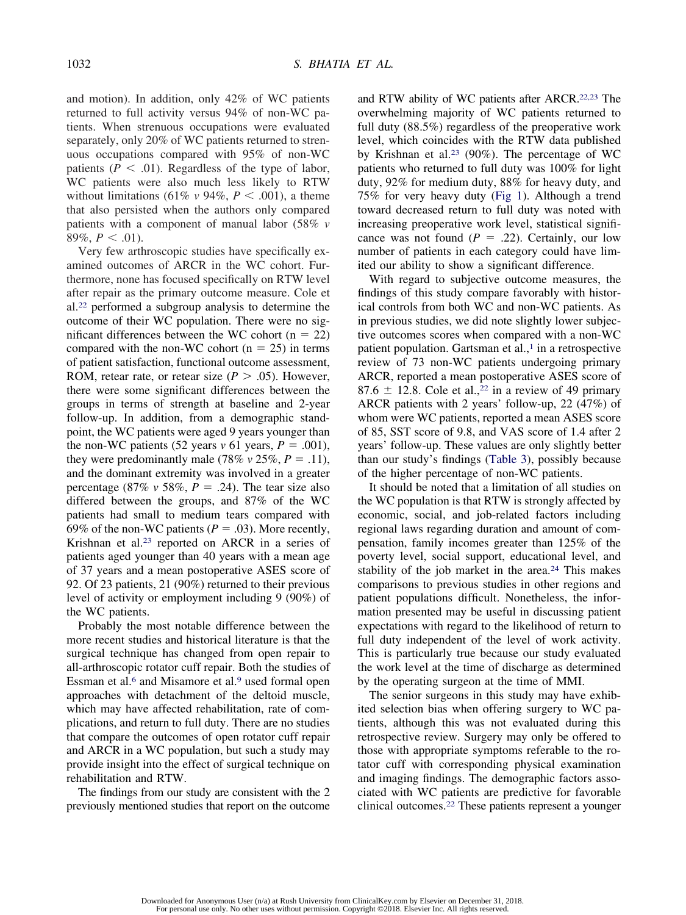and motion). In addition, only 42% of WC patients returned to full activity versus 94% of non-WC patients. When strenuous occupations were evaluated separately, only 20% of WC patients returned to strenuous occupations compared with 95% of non-WC patients ( $P \leq .01$ ). Regardless of the type of labor, WC patients were also much less likely to RTW without limitations (61%  $\nu$  94%,  $P < .001$ ), a theme that also persisted when the authors only compared patients with a component of manual labor (58% *v* 89%,  $P < .01$ ).

Very few arthroscopic studies have specifically examined outcomes of ARCR in the WC cohort. Furthermore, none has focused specifically on RTW level after repair as the primary outcome measure. Cole et al.22 performed a subgroup analysis to determine the outcome of their WC population. There were no significant differences between the WC cohort ( $n = 22$ ) compared with the non-WC cohort  $(n = 25)$  in terms of patient satisfaction, functional outcome assessment, ROM, retear rate, or retear size  $(P > .05)$ . However, there were some significant differences between the groups in terms of strength at baseline and 2-year follow-up. In addition, from a demographic standpoint, the WC patients were aged 9 years younger than the non-WC patients (52 years  $v$  61 years,  $P = .001$ ), they were predominantly male (78%  $v$  25%,  $P = .11$ ), and the dominant extremity was involved in a greater percentage (87%  $v$  58%,  $P = .24$ ). The tear size also differed between the groups, and 87% of the WC patients had small to medium tears compared with 69% of the non-WC patients ( $P = .03$ ). More recently, Krishnan et al.23 reported on ARCR in a series of patients aged younger than 40 years with a mean age of 37 years and a mean postoperative ASES score of 92. Of 23 patients, 21 (90%) returned to their previous level of activity or employment including 9 (90%) of the WC patients.

Probably the most notable difference between the more recent studies and historical literature is that the surgical technique has changed from open repair to all-arthroscopic rotator cuff repair. Both the studies of Essman et al.<sup>6</sup> and Misamore et al.<sup>9</sup> used formal open approaches with detachment of the deltoid muscle, which may have affected rehabilitation, rate of complications, and return to full duty. There are no studies that compare the outcomes of open rotator cuff repair and ARCR in a WC population, but such a study may provide insight into the effect of surgical technique on rehabilitation and RTW.

The findings from our study are consistent with the 2 previously mentioned studies that report on the outcome and RTW ability of WC patients after ARCR.22,23 The overwhelming majority of WC patients returned to full duty (88.5%) regardless of the preoperative work level, which coincides with the RTW data published by Krishnan et al.<sup>23</sup> (90%). The percentage of WC patients who returned to full duty was 100% for light duty, 92% for medium duty, 88% for heavy duty, and 75% for very heavy duty (Fig 1). Although a trend toward decreased return to full duty was noted with increasing preoperative work level, statistical significance was not found  $(P = .22)$ . Certainly, our low number of patients in each category could have limited our ability to show a significant difference.

With regard to subjective outcome measures, the findings of this study compare favorably with historical controls from both WC and non-WC patients. As in previous studies, we did note slightly lower subjective outcomes scores when compared with a non-WC patient population. Gartsman et al., $<sup>1</sup>$  in a retrospective</sup> review of 73 non-WC patients undergoing primary ARCR, reported a mean postoperative ASES score of 87.6  $\pm$  12.8. Cole et al.,<sup>22</sup> in a review of 49 primary ARCR patients with 2 years' follow-up, 22 (47%) of whom were WC patients, reported a mean ASES score of 85, SST score of 9.8, and VAS score of 1.4 after 2 years' follow-up. These values are only slightly better than our study's findings (Table 3), possibly because of the higher percentage of non-WC patients.

It should be noted that a limitation of all studies on the WC population is that RTW is strongly affected by economic, social, and job-related factors including regional laws regarding duration and amount of compensation, family incomes greater than 125% of the poverty level, social support, educational level, and stability of the job market in the area.<sup>24</sup> This makes comparisons to previous studies in other regions and patient populations difficult. Nonetheless, the information presented may be useful in discussing patient expectations with regard to the likelihood of return to full duty independent of the level of work activity. This is particularly true because our study evaluated the work level at the time of discharge as determined by the operating surgeon at the time of MMI.

The senior surgeons in this study may have exhibited selection bias when offering surgery to WC patients, although this was not evaluated during this retrospective review. Surgery may only be offered to those with appropriate symptoms referable to the rotator cuff with corresponding physical examination and imaging findings. The demographic factors associated with WC patients are predictive for favorable clinical outcomes.22 These patients represent a younger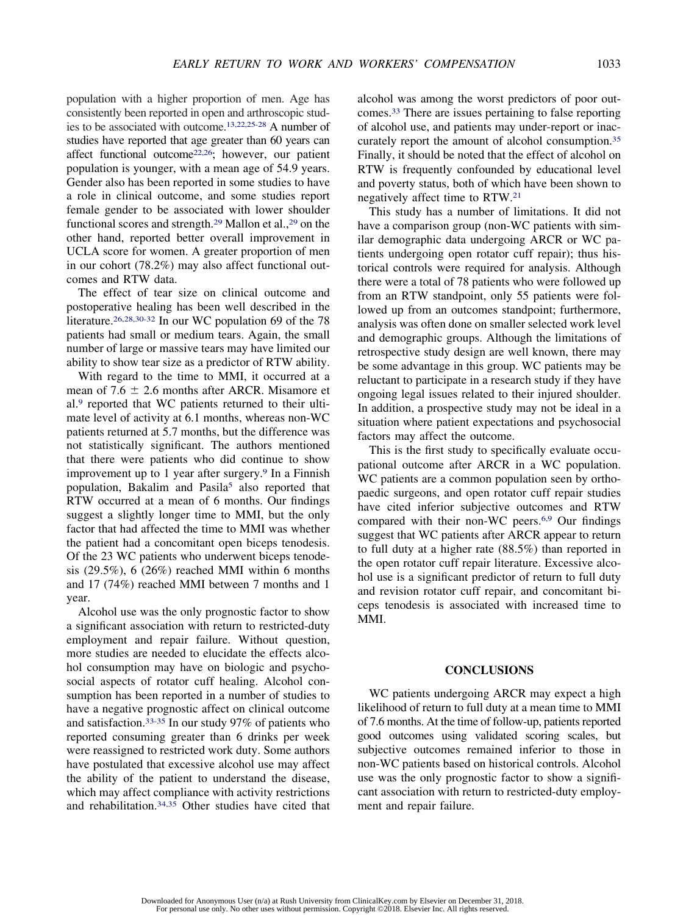population with a higher proportion of men. Age has consistently been reported in open and arthroscopic studies to be associated with outcome.13,22,25-28 A number of studies have reported that age greater than 60 years can affect functional outcome22,26; however, our patient population is younger, with a mean age of 54.9 years. Gender also has been reported in some studies to have a role in clinical outcome, and some studies report female gender to be associated with lower shoulder functional scores and strength.<sup>29</sup> Mallon et al.,<sup>29</sup> on the other hand, reported better overall improvement in UCLA score for women. A greater proportion of men in our cohort (78.2%) may also affect functional outcomes and RTW data.

The effect of tear size on clinical outcome and postoperative healing has been well described in the literature.26,28,30-32 In our WC population 69 of the 78 patients had small or medium tears. Again, the small number of large or massive tears may have limited our ability to show tear size as a predictor of RTW ability.

With regard to the time to MMI, it occurred at a mean of  $7.6 \pm 2.6$  months after ARCR. Misamore et al.9 reported that WC patients returned to their ultimate level of activity at 6.1 months, whereas non-WC patients returned at 5.7 months, but the difference was not statistically significant. The authors mentioned that there were patients who did continue to show improvement up to 1 year after surgery.<sup>9</sup> In a Finnish population, Bakalim and Pasila<sup>5</sup> also reported that RTW occurred at a mean of 6 months. Our findings suggest a slightly longer time to MMI, but the only factor that had affected the time to MMI was whether the patient had a concomitant open biceps tenodesis. Of the 23 WC patients who underwent biceps tenodesis (29.5%), 6 (26%) reached MMI within 6 months and 17 (74%) reached MMI between 7 months and 1 year.

Alcohol use was the only prognostic factor to show a significant association with return to restricted-duty employment and repair failure. Without question, more studies are needed to elucidate the effects alcohol consumption may have on biologic and psychosocial aspects of rotator cuff healing. Alcohol consumption has been reported in a number of studies to have a negative prognostic affect on clinical outcome and satisfaction.33-35 In our study 97% of patients who reported consuming greater than 6 drinks per week were reassigned to restricted work duty. Some authors have postulated that excessive alcohol use may affect the ability of the patient to understand the disease, which may affect compliance with activity restrictions and rehabilitation.34,35 Other studies have cited that alcohol was among the worst predictors of poor outcomes.33 There are issues pertaining to false reporting of alcohol use, and patients may under-report or inaccurately report the amount of alcohol consumption.35 Finally, it should be noted that the effect of alcohol on RTW is frequently confounded by educational level and poverty status, both of which have been shown to negatively affect time to RTW.21

This study has a number of limitations. It did not have a comparison group (non-WC patients with similar demographic data undergoing ARCR or WC patients undergoing open rotator cuff repair); thus historical controls were required for analysis. Although there were a total of 78 patients who were followed up from an RTW standpoint, only 55 patients were followed up from an outcomes standpoint; furthermore, analysis was often done on smaller selected work level and demographic groups. Although the limitations of retrospective study design are well known, there may be some advantage in this group. WC patients may be reluctant to participate in a research study if they have ongoing legal issues related to their injured shoulder. In addition, a prospective study may not be ideal in a situation where patient expectations and psychosocial factors may affect the outcome.

This is the first study to specifically evaluate occupational outcome after ARCR in a WC population. WC patients are a common population seen by orthopaedic surgeons, and open rotator cuff repair studies have cited inferior subjective outcomes and RTW compared with their non-WC peers.6,9 Our findings suggest that WC patients after ARCR appear to return to full duty at a higher rate (88.5%) than reported in the open rotator cuff repair literature. Excessive alcohol use is a significant predictor of return to full duty and revision rotator cuff repair, and concomitant biceps tenodesis is associated with increased time to MMI.

### **CONCLUSIONS**

WC patients undergoing ARCR may expect a high likelihood of return to full duty at a mean time to MMI of 7.6 months. At the time of follow-up, patients reported good outcomes using validated scoring scales, but subjective outcomes remained inferior to those in non-WC patients based on historical controls. Alcohol use was the only prognostic factor to show a significant association with return to restricted-duty employment and repair failure.